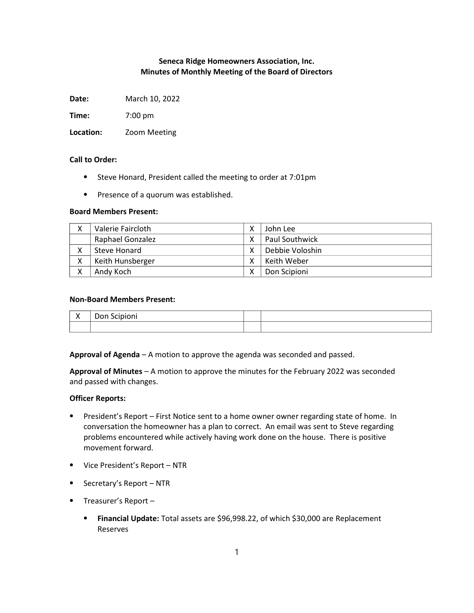# Seneca Ridge Homeowners Association, Inc. Minutes of Monthly Meeting of the Board of Directors

Date: March 10, 2022

Time: 7:00 pm

Location: Zoom Meeting

### Call to Order:

- ⦁ Steve Honard, President called the meeting to order at 7:01pm
- ⦁ Presence of a quorum was established.

#### Board Members Present:

| $\checkmark$<br>Λ | Valerie Faircloth       | John Lee        |
|-------------------|-------------------------|-----------------|
|                   | <b>Raphael Gonzalez</b> | Paul Southwick  |
| Λ                 | Steve Honard            | Debbie Voloshin |
| v<br>∧            | Keith Hunsberger        | Keith Weber     |
| $\checkmark$      | Andy Koch               | Don Scipioni    |

# Non-Board Members Present:

| . . | __<br>.<br>-----<br>____ |  |
|-----|--------------------------|--|
|     |                          |  |

Approval of Agenda – A motion to approve the agenda was seconded and passed.

Approval of Minutes – A motion to approve the minutes for the February 2022 was seconded and passed with changes.

### Officer Reports:

- ⦁ President's Report First Notice sent to a home owner owner regarding state of home. In conversation the homeowner has a plan to correct. An email was sent to Steve regarding problems encountered while actively having work done on the house. There is positive movement forward.
- ⦁ Vice President's Report NTR
- ⦁ Secretary's Report NTR
- ⦁ Treasurer's Report
	- ⦁ Financial Update: Total assets are \$96,998.22, of which \$30,000 are Replacement Reserves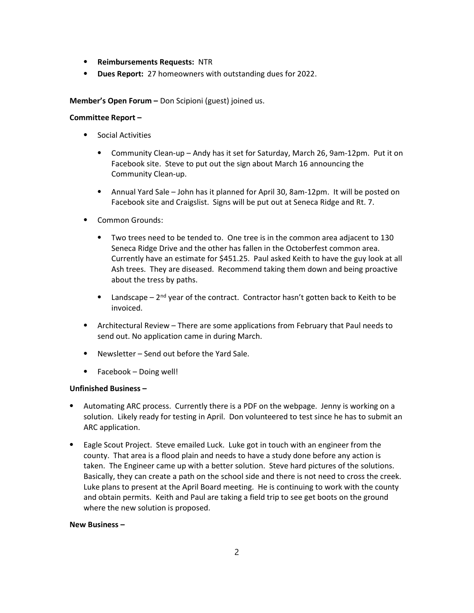- ⦁ Reimbursements Requests: NTR
- ⦁ Dues Report: 27 homeowners with outstanding dues for 2022.

Member's Open Forum – Don Scipioni (guest) joined us.

# Committee Report –

- ⦁ Social Activities
	- ⦁ Community Clean-up Andy has it set for Saturday, March 26, 9am-12pm. Put it on Facebook site. Steve to put out the sign about March 16 announcing the Community Clean-up.
	- ⦁ Annual Yard Sale John has it planned for April 30, 8am-12pm. It will be posted on Facebook site and Craigslist. Signs will be put out at Seneca Ridge and Rt. 7.
- ⦁ Common Grounds:
	- ⦁ Two trees need to be tended to. One tree is in the common area adjacent to 130 Seneca Ridge Drive and the other has fallen in the Octoberfest common area. Currently have an estimate for \$451.25. Paul asked Keith to have the guy look at all Ash trees. They are diseased. Recommend taking them down and being proactive about the tress by paths.
	- **•** Landscape  $2^{nd}$  year of the contract. Contractor hasn't gotten back to Keith to be invoiced.
- ⦁ Architectural Review There are some applications from February that Paul needs to send out. No application came in during March.
- ⦁ Newsletter Send out before the Yard Sale.
- ⦁ Facebook Doing well!

### Unfinished Business –

- Automating ARC process. Currently there is a PDF on the webpage. Jenny is working on a solution. Likely ready for testing in April. Don volunteered to test since he has to submit an ARC application.
- ⦁ Eagle Scout Project. Steve emailed Luck. Luke got in touch with an engineer from the county. That area is a flood plain and needs to have a study done before any action is taken. The Engineer came up with a better solution. Steve hard pictures of the solutions. Basically, they can create a path on the school side and there is not need to cross the creek. Luke plans to present at the April Board meeting. He is continuing to work with the county and obtain permits. Keith and Paul are taking a field trip to see get boots on the ground where the new solution is proposed.

### New Business –